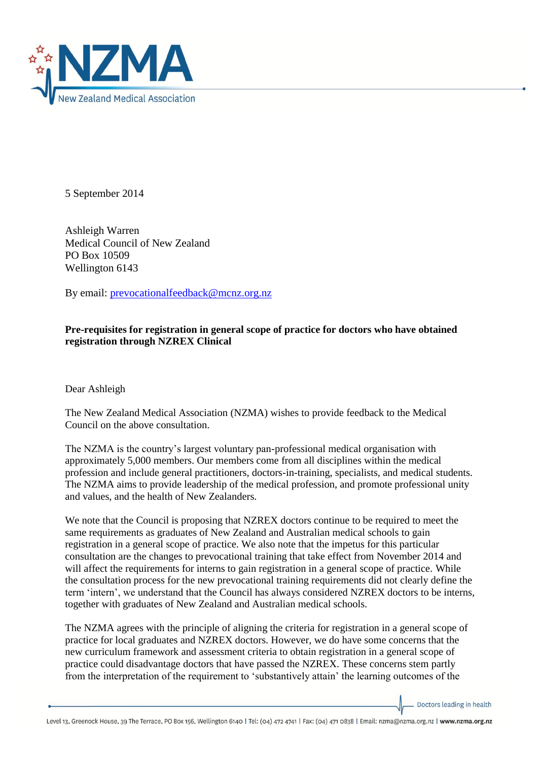

5 September 2014

Ashleigh Warren Medical Council of New Zealand PO Box 10509 Wellington 6143

By email: [prevocationalfeedback@mcnz.org.nz](mailto:prevocationalfeedback@mcnz.org.nz)

## **Pre-requisites for registration in general scope of practice for doctors who have obtained registration through NZREX Clinical**

Dear Ashleigh

The New Zealand Medical Association (NZMA) wishes to provide feedback to the Medical Council on the above consultation.

The NZMA is the country's largest voluntary pan-professional medical organisation with approximately 5,000 members. Our members come from all disciplines within the medical profession and include general practitioners, doctors-in-training, specialists, and medical students. The NZMA aims to provide leadership of the medical profession, and promote professional unity and values, and the health of New Zealanders.

We note that the Council is proposing that NZREX doctors continue to be required to meet the same requirements as graduates of New Zealand and Australian medical schools to gain registration in a general scope of practice. We also note that the impetus for this particular consultation are the changes to prevocational training that take effect from November 2014 and will affect the requirements for interns to gain registration in a general scope of practice. While the consultation process for the new prevocational training requirements did not clearly define the term 'intern', we understand that the Council has always considered NZREX doctors to be interns, together with graduates of New Zealand and Australian medical schools.

The NZMA agrees with the principle of aligning the criteria for registration in a general scope of practice for local graduates and NZREX doctors. However, we do have some concerns that the new curriculum framework and assessment criteria to obtain registration in a general scope of practice could disadvantage doctors that have passed the NZREX. These concerns stem partly from the interpretation of the requirement to 'substantively attain' the learning outcomes of the

Doctors leading in health